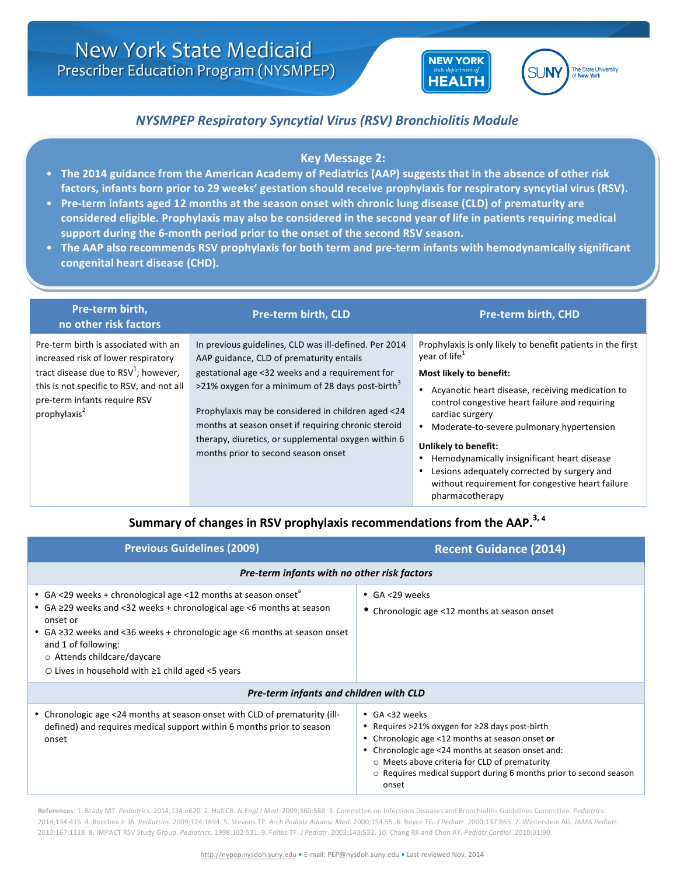

# State Unive

# *NYSMPEP Respiratory Syncytial Virus (RSV) Bronchiolitis Module*

### **Key Message 2:**

- The 2014 guidance from the American Academy of Pediatrics (AAP) suggests that in the absence of other risk factors, infants born prior to 29 weeks' gestation should receive prophylaxis for respiratory syncytial virus (RSV).
- Pre-term infants aged 12 months at the season onset with chronic lung disease (CLD) of prematurity are considered eligible. Prophylaxis may also be considered in the second year of life in patients requiring medical support during the 6-month period prior to the onset of the second RSV season.
- The AAP also recommends RSV prophylaxis for both term and pre-term infants with hemodynamically significant congenital heart disease (CHD).

| Pre-term birth,<br>no other risk factors                                                                                                                                                                                       | <b>Pre-term birth, CLD</b>                                                                                                                                                                                                                                                                                                                                                                                                      | <b>Pre-term birth, CHD</b>                                                                                                                                                                                                                                                                                                                                                                                                                                                                          |
|--------------------------------------------------------------------------------------------------------------------------------------------------------------------------------------------------------------------------------|---------------------------------------------------------------------------------------------------------------------------------------------------------------------------------------------------------------------------------------------------------------------------------------------------------------------------------------------------------------------------------------------------------------------------------|-----------------------------------------------------------------------------------------------------------------------------------------------------------------------------------------------------------------------------------------------------------------------------------------------------------------------------------------------------------------------------------------------------------------------------------------------------------------------------------------------------|
| Pre-term birth is associated with an<br>increased risk of lower respiratory<br>tract disease due to $RSV^1$ ; however,<br>this is not specific to RSV, and not all<br>pre-term infants require RSV<br>prophylaxis <sup>2</sup> | In previous guidelines, CLD was ill-defined. Per 2014<br>AAP guidance, CLD of prematurity entails<br>gestational age <32 weeks and a requirement for<br>>21% oxygen for a minimum of 28 days post-birth <sup>3</sup><br>Prophylaxis may be considered in children aged <24<br>months at season onset if requiring chronic steroid<br>therapy, diuretics, or supplemental oxygen within 6<br>months prior to second season onset | Prophylaxis is only likely to benefit patients in the first<br>year of life <sup>1</sup><br>Most likely to benefit:<br>Acyanotic heart disease, receiving medication to<br>control congestive heart failure and requiring<br>cardiac surgery<br>Moderate-to-severe pulmonary hypertension<br>Unlikely to benefit:<br>Hemodynamically insignificant heart disease<br>Lesions adequately corrected by surgery and<br>$\bullet$<br>without requirement for congestive heart failure<br>pharmacotherapy |

## Summary of changes in RSV prophylaxis recommendations from the AAP.<sup>3, 4</sup>

| <b>Previous Guidelines (2009)</b>                                                                                                                                                                                                                                                                                                                                      | <b>Recent Guidance (2014)</b>                                                                                                                                                                                                                                                                                      |  |  |  |
|------------------------------------------------------------------------------------------------------------------------------------------------------------------------------------------------------------------------------------------------------------------------------------------------------------------------------------------------------------------------|--------------------------------------------------------------------------------------------------------------------------------------------------------------------------------------------------------------------------------------------------------------------------------------------------------------------|--|--|--|
| Pre-term infants with no other risk factors                                                                                                                                                                                                                                                                                                                            |                                                                                                                                                                                                                                                                                                                    |  |  |  |
| • GA <29 weeks + chronological age <12 months at season onset <sup>a</sup><br>• GA ≥29 weeks and <32 weeks + chronological age <6 months at season<br>onset or<br>• $GA \geq 32$ weeks and <36 weeks + chronologic age <6 months at season onset<br>and 1 of following:<br>o Attends childcare/daycare<br>$\circ$ Lives in household with $\geq$ 1 child aged <5 years | $\cdot$ GA <29 weeks<br>• Chronologic age <12 months at season onset                                                                                                                                                                                                                                               |  |  |  |
| Pre-term infants and children with CLD                                                                                                                                                                                                                                                                                                                                 |                                                                                                                                                                                                                                                                                                                    |  |  |  |
| • Chronologic age <24 months at season onset with CLD of prematurity (ill-<br>defined) and requires medical support within 6 months prior to season<br>onset                                                                                                                                                                                                           | • GA <32 weeks<br>Requires $>21\%$ oxygen for $\geq 28$ days post-birth<br>Chronologic age <12 months at season onset or<br>• Chronologic age <24 months at season onset and:<br>○ Meets above criteria for CLD of prematurity<br>$\circ$ Requires medical support during 6 months prior to second season<br>onset |  |  |  |

References: 1. Brady MT. Pediatrics. 2014;134:e620. 2. Hall CB. *N Engl J Med.* 2009;360:588. 3. Committee on Infectious Diseases and Bronchiolitis Guidelines Committee. Pediatrics. 2014;134:415. 4. Bocchini Jr JA. Pediatrics. 2009;124:1694. 5. Stevens TP. Arch Pediatr Adolesc Med. 2000;154:55. 6. Boyce TG. J Pediatr. 2000;137:865. 7. Winterstein AG. JAMA Pediatr. 2013;167:1118. 8. IMPACT RSV Study Group. *Pediatrics*. 1998;102:531. 9. Feltes TF. *J Pediatr*. 2003;143:532. 10. Chang RK and Chen AY. *Pediatr Cardiol*. 2010;31:90.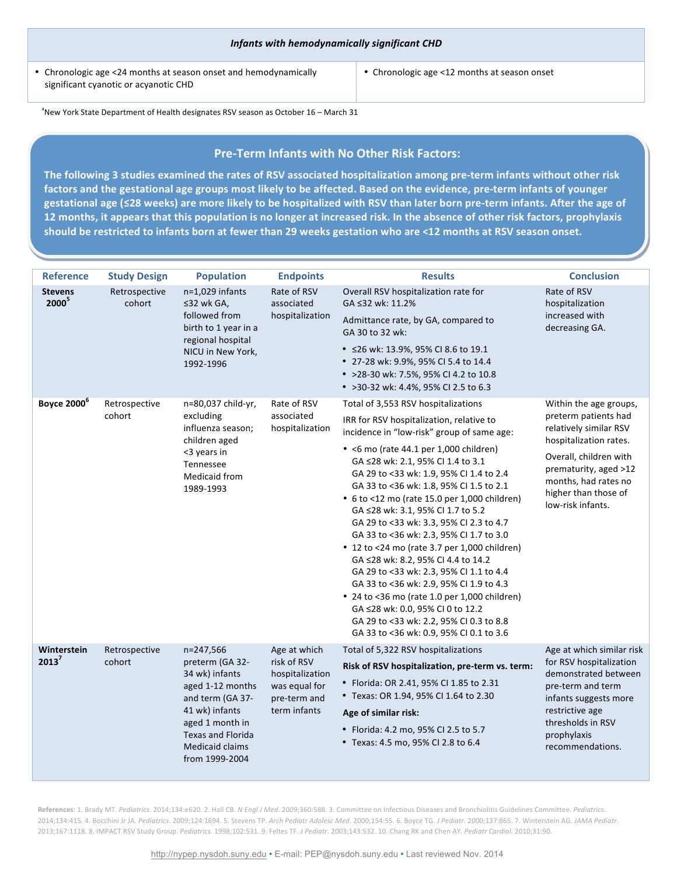• Chronologic age <24 months at season onset and hemodynamically significant cyanotic or acyanotic CHD

**Key Message** 

• Chronologic age <12 months at season onset

 $^{\circ}$ New York State Department of Health designates RSV season as October 16 – March 31

#### **Pre-Term Infants with No Other Risk Factors:**

The following 3 studies examined the rates of RSV associated hospitalization among pre-term infants without other risk factors and the gestational age groups most likely to be affected. Based on the evidence, pre-term infants of younger gestational age (≤28 weeks) are more likely to be hospitalized with RSV than later born pre-term infants. After the age of **12** months, it appears that this population is no longer at increased risk. In the absence of other risk factors, prophylaxis should be restricted to infants born at fewer than 29 weeks gestation who are <12 months at RSV season onset.

 $\mathcal{L}=\mathcal{L}=\mathcal{L}=\mathcal{L}=\mathcal{L}=\mathcal{L}=\mathcal{L}=\mathcal{L}=\mathcal{L}=\mathcal{L}=\mathcal{L}=\mathcal{L}=\mathcal{L}=\mathcal{L}=\mathcal{L}=\mathcal{L}=\mathcal{L}=\mathcal{L}=\mathcal{L}=\mathcal{L}=\mathcal{L}=\mathcal{L}=\mathcal{L}=\mathcal{L}=\mathcal{L}=\mathcal{L}=\mathcal{L}=\mathcal{L}=\mathcal{L}=\mathcal{L}=\mathcal{L}=\mathcal{L}=\mathcal{L}=\mathcal{L}=\mathcal{L}=\mathcal{L}=\mathcal{$ 

| <b>Reference</b>                    | <b>Study Design</b>     | <b>Population</b>                                                                                                                                                                                   | <b>Endpoints</b>                                                                                | <b>Results</b>                                                                                                                                                                                                                                                                                                                                                                                                                                                                                                                                                                                                                                                                                                                                                                                                                      | <b>Conclusion</b>                                                                                                                                                                                                          |
|-------------------------------------|-------------------------|-----------------------------------------------------------------------------------------------------------------------------------------------------------------------------------------------------|-------------------------------------------------------------------------------------------------|-------------------------------------------------------------------------------------------------------------------------------------------------------------------------------------------------------------------------------------------------------------------------------------------------------------------------------------------------------------------------------------------------------------------------------------------------------------------------------------------------------------------------------------------------------------------------------------------------------------------------------------------------------------------------------------------------------------------------------------------------------------------------------------------------------------------------------------|----------------------------------------------------------------------------------------------------------------------------------------------------------------------------------------------------------------------------|
| <b>Stevens</b><br>2000 <sup>5</sup> | Retrospective<br>cohort | $n=1,029$ infants<br>≤32 wk GA,<br>followed from<br>birth to 1 year in a<br>regional hospital<br>NICU in New York,<br>1992-1996                                                                     | Rate of RSV<br>associated<br>hospitalization                                                    | Overall RSV hospitalization rate for<br>GA ≤32 wk: 11.2%<br>Admittance rate, by GA, compared to<br>GA 30 to 32 wk:<br>• ≤26 wk: 13.9%, 95% CI 8.6 to 19.1<br>• 27-28 wk: 9.9%, 95% CI 5.4 to 14.4<br>• >28-30 wk: 7.5%, 95% CI 4.2 to 10.8<br>• >30-32 wk: 4.4%, 95% CI 2.5 to 6.3                                                                                                                                                                                                                                                                                                                                                                                                                                                                                                                                                  | Rate of RSV<br>hospitalization<br>increased with<br>decreasing GA.                                                                                                                                                         |
| <b>Boyce 2000</b> <sup>6</sup>      | Retrospective<br>cohort | n=80,037 child-yr,<br>excluding<br>influenza season;<br>children aged<br><3 years in<br>Tennessee<br>Medicaid from<br>1989-1993                                                                     | Rate of RSV<br>associated<br>hospitalization                                                    | Total of 3,553 RSV hospitalizations<br>IRR for RSV hospitalization, relative to<br>incidence in "low-risk" group of same age:<br>• <6 mo (rate 44.1 per 1,000 children)<br>GA ≤28 wk: 2.1, 95% CI 1.4 to 3.1<br>GA 29 to <33 wk: 1.9, 95% CI 1.4 to 2.4<br>GA 33 to <36 wk: 1.8, 95% CI 1.5 to 2.1<br>• 6 to <12 mo (rate 15.0 per 1,000 children)<br>GA ≤28 wk: 3.1, 95% CI 1.7 to 5.2<br>GA 29 to <33 wk: 3.3, 95% CI 2.3 to 4.7<br>GA 33 to <36 wk: 2.3, 95% CI 1.7 to 3.0<br>• 12 to <24 mo (rate 3.7 per 1,000 children)<br>GA ≤28 wk: 8.2, 95% CI 4.4 to 14.2<br>GA 29 to <33 wk: 2.3, 95% CI 1.1 to 4.4<br>GA 33 to <36 wk: 2.9, 95% CI 1.9 to 4.3<br>• 24 to <36 mo (rate 1.0 per 1,000 children)<br>GA ≤28 wk: 0.0, 95% CI 0 to 12.2<br>GA 29 to <33 wk: 2.2, 95% CI 0.3 to 8.8<br>GA 33 to <36 wk: 0.9, 95% CI 0.1 to 3.6 | Within the age groups,<br>preterm patients had<br>relatively similar RSV<br>hospitalization rates.<br>Overall, children with<br>prematurity, aged >12<br>months, had rates no<br>higher than those of<br>low-risk infants. |
| Winterstein<br>2013 <sup>7</sup>    | Retrospective<br>cohort | n=247,566<br>preterm (GA 32-<br>34 wk) infants<br>aged 1-12 months<br>and term (GA 37-<br>41 wk) infants<br>aged 1 month in<br><b>Texas and Florida</b><br><b>Medicaid claims</b><br>from 1999-2004 | Age at which<br>risk of RSV<br>hospitalization<br>was equal for<br>pre-term and<br>term infants | Total of 5,322 RSV hospitalizations<br>Risk of RSV hospitalization, pre-term vs. term:<br>• Florida: OR 2.41, 95% CI 1.85 to 2.31<br>• Texas: OR 1.94, 95% CI 1.64 to 2.30<br>Age of similar risk:<br>• Florida: 4.2 mo, 95% CI 2.5 to 5.7<br>• Texas: 4.5 mo, 95% CI 2.8 to 6.4                                                                                                                                                                                                                                                                                                                                                                                                                                                                                                                                                    | Age at which similar risk<br>for RSV hospitalization<br>demonstrated between<br>pre-term and term<br>infants suggests more<br>restrictive age<br>thresholds in RSV<br>prophylaxis<br>recommendations.                      |

References: 1. Brady MT. Pediatrics. 2014;134:e620. 2. Hall CB. *N Engl J Med.* 2009;360:588. 3. Committee on Infectious Diseases and Bronchiolitis Guidelines Committee. Pediatrics. 2014;134:415. 4. Bocchini Jr JA. Pediatrics. 2009;124:1694. 5. Stevens TP. Arch Pediatr Adolesc Med. 2000;154:55. 6. Boyce TG. J Pediatr. 2000;137:865. 7. Winterstein AG. JAMA Pediatr. 2013;167:1118. 8. IMPACT RSV Study Group. *Pediatrics*. 1998;102:531. 9. Feltes TF. *J Pediatr*. 2003;143:532. 10. Chang RK and Chen AY. *Pediatr Cardiol*. 2010;31:90.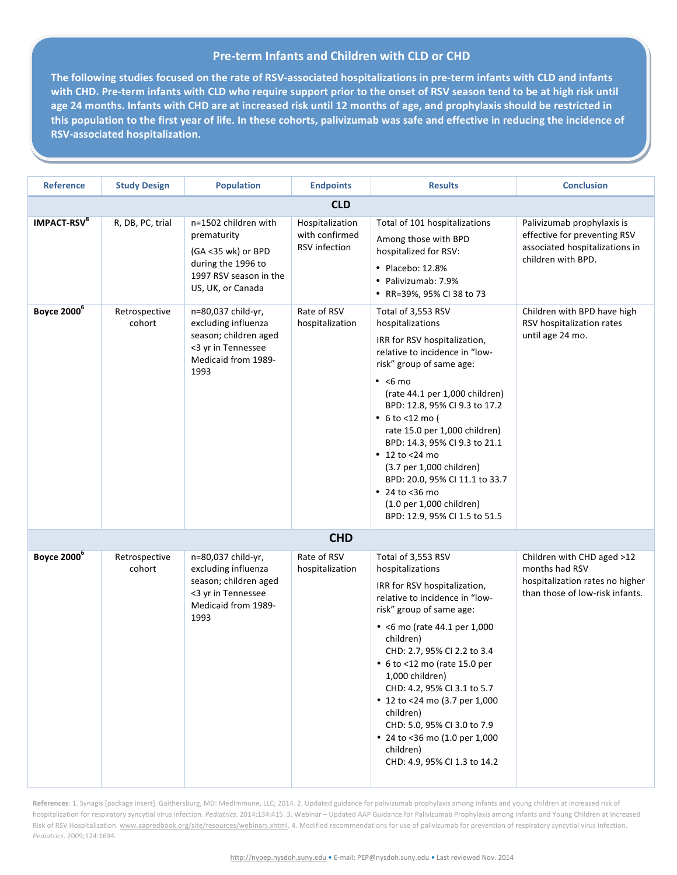#### **Pre-term Infants and Children with CLD or CHD**

The following studies focused on the rate of RSV-associated hospitalizations in pre-term infants with CLD and infants with CHD. Pre-term infants with CLD who require support prior to the onset of RSV season tend to be at high risk until age 24 months. Infants with CHD are at increased risk until 12 months of age, and prophylaxis should be restricted in this population to the first year of life. In these cohorts, palivizumab was safe and effective in reducing the incidence of **RSV-associated hospitalization.**

| <b>Reference</b>              | <b>Study Design</b>     | <b>Population</b>                                                                                                              | <b>Endpoints</b>                                   | <b>Results</b>                                                                                                                                                                                                                                                                                                                                                                                                                                                                   | <b>Conclusion</b>                                                                                                  |
|-------------------------------|-------------------------|--------------------------------------------------------------------------------------------------------------------------------|----------------------------------------------------|----------------------------------------------------------------------------------------------------------------------------------------------------------------------------------------------------------------------------------------------------------------------------------------------------------------------------------------------------------------------------------------------------------------------------------------------------------------------------------|--------------------------------------------------------------------------------------------------------------------|
|                               |                         |                                                                                                                                | <b>CLD</b>                                         |                                                                                                                                                                                                                                                                                                                                                                                                                                                                                  |                                                                                                                    |
| <b>IMPACT-RSV<sup>8</sup></b> | R, DB, PC, trial        | n=1502 children with<br>prematurity<br>(GA <35 wk) or BPD<br>during the 1996 to<br>1997 RSV season in the<br>US, UK, or Canada | Hospitalization<br>with confirmed<br>RSV infection | Total of 101 hospitalizations<br>Among those with BPD<br>hospitalized for RSV:<br>• Placebo: 12.8%<br>• Palivizumab: 7.9%<br>• RR=39%, 95% CI 38 to 73                                                                                                                                                                                                                                                                                                                           | Palivizumab prophylaxis is<br>effective for preventing RSV<br>associated hospitalizations in<br>children with BPD. |
| Boyce 2000 <sup>6</sup>       | Retrospective<br>cohort | n=80,037 child-yr,<br>excluding influenza<br>season; children aged<br><3 yr in Tennessee<br>Medicaid from 1989-<br>1993        | Rate of RSV<br>hospitalization                     | Total of 3,553 RSV<br>hospitalizations<br>IRR for RSV hospitalization,<br>relative to incidence in "low-<br>risk" group of same age:<br>$\bullet$ <6 mo<br>(rate 44.1 per 1,000 children)<br>BPD: 12.8, 95% CI 9.3 to 17.2<br>• $6$ to <12 mo (<br>rate 15.0 per 1,000 children)<br>BPD: 14.3, 95% CI 9.3 to 21.1<br>• 12 to <24 mo<br>(3.7 per 1,000 children)<br>BPD: 20.0, 95% CI 11.1 to 33.7<br>• 24 to <36 mo<br>(1.0 per 1,000 children)<br>BPD: 12.9, 95% CI 1.5 to 51.5 | Children with BPD have high<br>RSV hospitalization rates<br>until age 24 mo.                                       |
|                               |                         |                                                                                                                                | <b>CHD</b>                                         |                                                                                                                                                                                                                                                                                                                                                                                                                                                                                  |                                                                                                                    |
| Boyce 2000 <sup>6</sup>       | Retrospective<br>cohort | n=80,037 child-yr,<br>excluding influenza<br>season; children aged<br><3 yr in Tennessee<br>Medicaid from 1989-<br>1993        | Rate of RSV<br>hospitalization                     | Total of 3,553 RSV<br>hospitalizations<br>IRR for RSV hospitalization,<br>relative to incidence in "low-<br>risk" group of same age:<br>• <6 mo (rate 44.1 per 1,000<br>children)<br>CHD: 2.7, 95% CI 2.2 to 3.4<br>• 6 to <12 mo (rate 15.0 per<br>1,000 children)<br>CHD: 4.2, 95% CI 3.1 to 5.7<br>• 12 to <24 mo (3.7 per 1,000<br>children)<br>CHD: 5.0, 95% CI 3.0 to 7.9<br>• 24 to <36 mo (1.0 per 1,000<br>children)<br>CHD: 4.9, 95% CI 1.3 to 14.2                    | Children with CHD aged >12<br>months had RSV<br>hospitalization rates no higher<br>than those of low-risk infants. |

References: 1. Synagis [package insert]. Gaithersburg, MD: MedImmune, LLC; 2014. 2. Updated guidance for palivizumab prophylaxis among infants and young children at increased risk of hospitalization for respiratory syncytial virus infection. Pediatrics. 2014;134:415. 3. Webinar – Updated AAP Guidance for Palivizumab Prophylaxis among Infants and Young Children at Increased Risk of RSV Hospitalization. www.aapredbook.org/site/resources/webinars.xhtml. 4. Modified recommendations for use of palivizumab for prevention of respiratory syncytial virus infection. *Pediatrics*. 2009;124:1694.